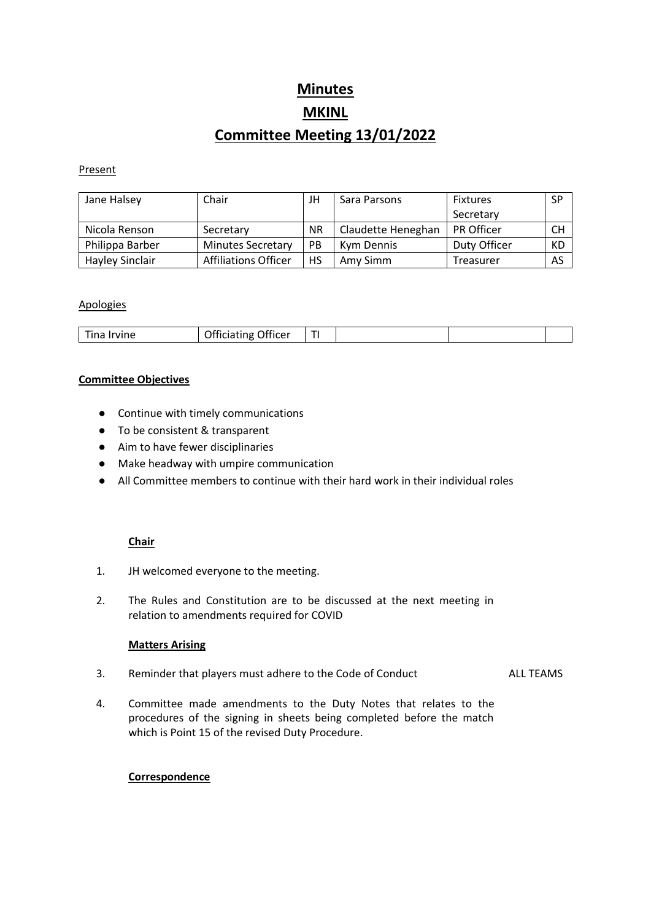# **Minutes MKINL Committee Meeting 13/01/2022**

### **Present**

| Jane Halsey            | Chair                    | JH        | Sara Parsons       | <b>Fixtures</b>   | <b>SP</b> |
|------------------------|--------------------------|-----------|--------------------|-------------------|-----------|
|                        |                          |           |                    | Secretary         |           |
| Nicola Renson          | Secretary                | <b>NR</b> | Claudette Heneghan | <b>PR Officer</b> | <b>CH</b> |
| Philippa Barber        | <b>Minutes Secretary</b> | PB        | Kym Dennis         | Duty Officer      | KD        |
| <b>Hayley Sinclair</b> | Affiliations Officer     | НS        | Amy Simm           | Treasurer         | AS        |

#### **Apologies**

| $- \cdot$<br>'rvine<br>, ina | Officer<br>∩fficiatina<br>JITICIATING |  |  |
|------------------------------|---------------------------------------|--|--|

#### **Committee Objectives**

- Continue with timely communications
- To be consistent & transparent
- Aim to have fewer disciplinaries
- Make headway with umpire communication
- All Committee members to continue with their hard work in their individual roles

#### **Chair**

- 1. JH welcomed everyone to the meeting.
- 2. The Rules and Constitution are to be discussed at the next meeting in relation to amendments required for COVID

#### **Matters Arising**

- 3. Reminder that players must adhere to the Code of Conduct ALL TEAMS
- 4. Committee made amendments to the Duty Notes that relates to the procedures of the signing in sheets being completed before the match which is Point 15 of the revised Duty Procedure.

#### **Correspondence**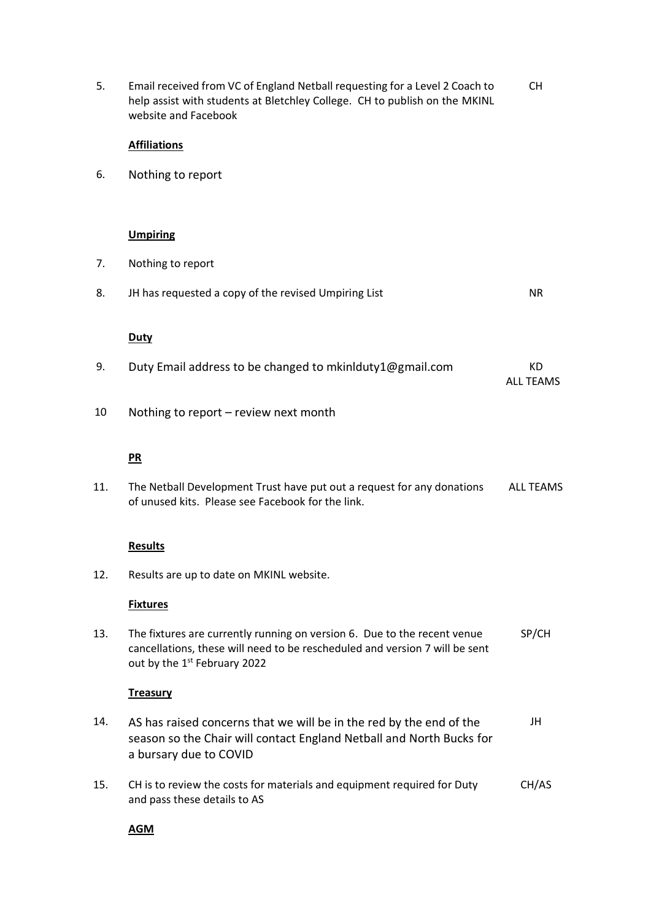| 5.  | Email received from VC of England Netball requesting for a Level 2 Coach to<br>help assist with students at Bletchley College. CH to publish on the MKINL<br>website and Facebook                   | <b>CH</b>                     |
|-----|-----------------------------------------------------------------------------------------------------------------------------------------------------------------------------------------------------|-------------------------------|
|     | <b>Affiliations</b>                                                                                                                                                                                 |                               |
| 6.  | Nothing to report                                                                                                                                                                                   |                               |
|     |                                                                                                                                                                                                     |                               |
|     | <b>Umpiring</b>                                                                                                                                                                                     |                               |
| 7.  | Nothing to report                                                                                                                                                                                   |                               |
| 8.  | JH has requested a copy of the revised Umpiring List                                                                                                                                                | <b>NR</b>                     |
|     | <b>Duty</b>                                                                                                                                                                                         |                               |
| 9.  | Duty Email address to be changed to mkinlduty1@gmail.com                                                                                                                                            | <b>KD</b><br><b>ALL TEAMS</b> |
| 10  | Nothing to report $-$ review next month                                                                                                                                                             |                               |
|     | PR                                                                                                                                                                                                  |                               |
| 11. | The Netball Development Trust have put out a request for any donations<br>of unused kits. Please see Facebook for the link.                                                                         | <b>ALL TEAMS</b>              |
|     | <b>Results</b>                                                                                                                                                                                      |                               |
| 12. | Results are up to date on MKINL website.                                                                                                                                                            |                               |
|     | <b>Fixtures</b>                                                                                                                                                                                     |                               |
| 13. | The fixtures are currently running on version 6. Due to the recent venue<br>cancellations, these will need to be rescheduled and version 7 will be sent<br>out by the 1 <sup>st</sup> February 2022 | SP/CH                         |
|     | <b>Treasury</b>                                                                                                                                                                                     |                               |
| 14. | AS has raised concerns that we will be in the red by the end of the<br>season so the Chair will contact England Netball and North Bucks for<br>a bursary due to COVID                               | JH                            |
| 15. | CH is to review the costs for materials and equipment required for Duty<br>and pass these details to AS                                                                                             | CH/AS                         |
|     |                                                                                                                                                                                                     |                               |

**AGM**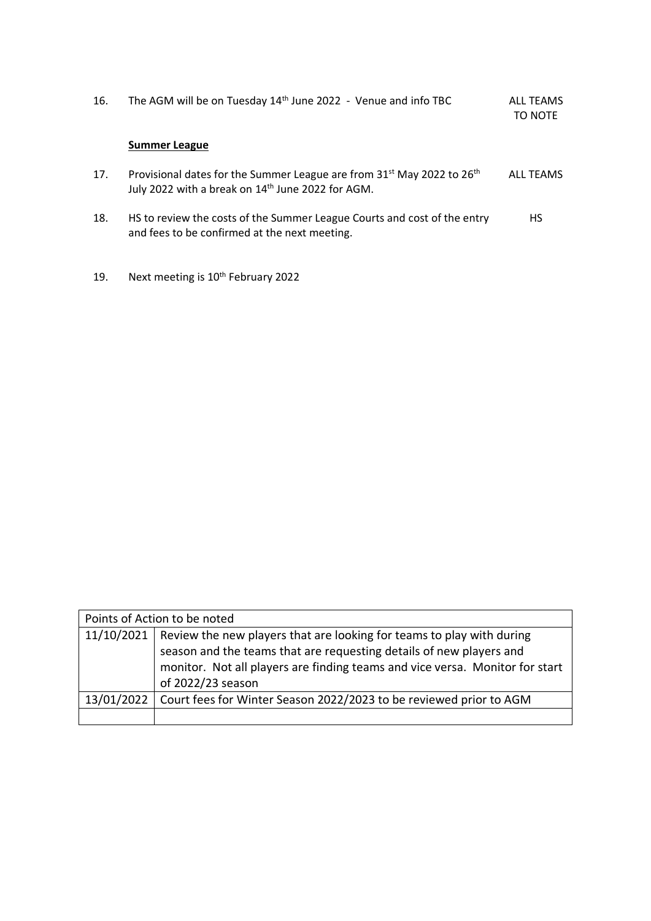| 16. | The AGM will be on Tuesday 14 <sup>th</sup> June 2022 - Venue and info TBC                                                                          | ALL TEAMS<br>TO NOTE |
|-----|-----------------------------------------------------------------------------------------------------------------------------------------------------|----------------------|
|     | <b>Summer League</b>                                                                                                                                |                      |
| 17. | Provisional dates for the Summer League are from 31 <sup>st</sup> May 2022 to 26 <sup>th</sup><br>July 2022 with a break on 14th June 2022 for AGM. | ALL TEAMS            |
| 18. | HS to review the costs of the Summer League Courts and cost of the entry<br>and fees to be confirmed at the next meeting.                           | НS                   |

19. Next meeting is  $10^{th}$  February 2022

| Points of Action to be noted |                                                                                    |  |
|------------------------------|------------------------------------------------------------------------------------|--|
|                              | 11/10/2021   Review the new players that are looking for teams to play with during |  |
|                              | season and the teams that are requesting details of new players and                |  |
|                              | monitor. Not all players are finding teams and vice versa. Monitor for start       |  |
|                              | of 2022/23 season                                                                  |  |
|                              | 13/01/2022   Court fees for Winter Season 2022/2023 to be reviewed prior to AGM    |  |
|                              |                                                                                    |  |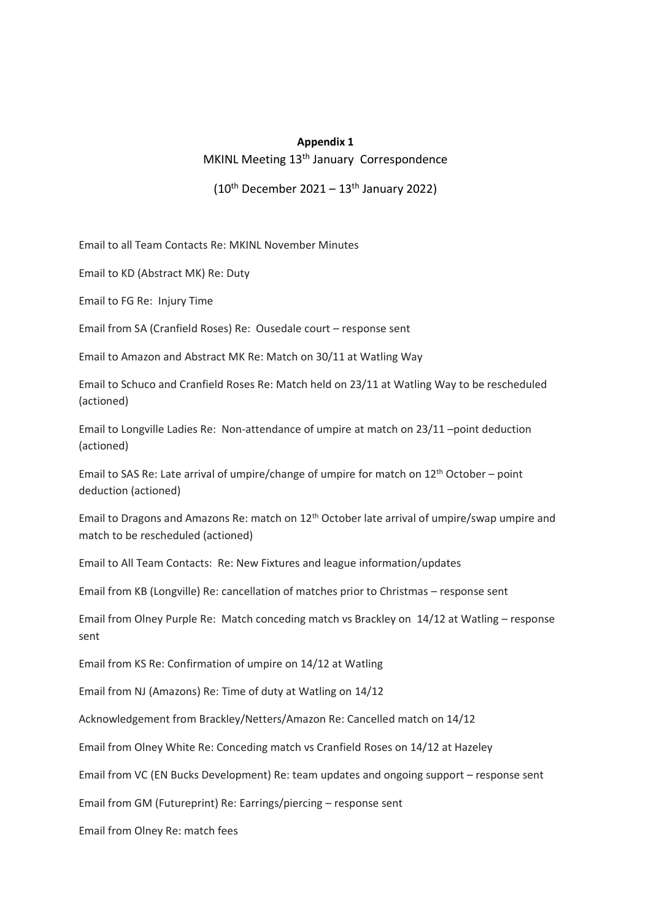## **Appendix 1** MKINL Meeting 13<sup>th</sup> January Correspondence

(10<sup>th</sup> December 2021 – 13<sup>th</sup> January 2022)

Email to all Team Contacts Re: MKINL November Minutes

Email to KD (Abstract MK) Re: Duty

Email to FG Re: Injury Time

Email from SA (Cranfield Roses) Re: Ousedale court – response sent

Email to Amazon and Abstract MK Re: Match on 30/11 at Watling Way

Email to Schuco and Cranfield Roses Re: Match held on 23/11 at Watling Way to be rescheduled (actioned)

Email to Longville Ladies Re: Non-attendance of umpire at match on 23/11 –point deduction (actioned)

Email to SAS Re: Late arrival of umpire/change of umpire for match on  $12<sup>th</sup>$  October – point deduction (actioned)

Email to Dragons and Amazons Re: match on 12th October late arrival of umpire/swap umpire and match to be rescheduled (actioned)

Email to All Team Contacts: Re: New Fixtures and league information/updates

Email from KB (Longville) Re: cancellation of matches prior to Christmas – response sent

Email from Olney Purple Re: Match conceding match vs Brackley on 14/12 at Watling – response sent

Email from KS Re: Confirmation of umpire on 14/12 at Watling

Email from NJ (Amazons) Re: Time of duty at Watling on 14/12

Acknowledgement from Brackley/Netters/Amazon Re: Cancelled match on 14/12

Email from Olney White Re: Conceding match vs Cranfield Roses on 14/12 at Hazeley

Email from VC (EN Bucks Development) Re: team updates and ongoing support – response sent

Email from GM (Futureprint) Re: Earrings/piercing – response sent

Email from Olney Re: match fees